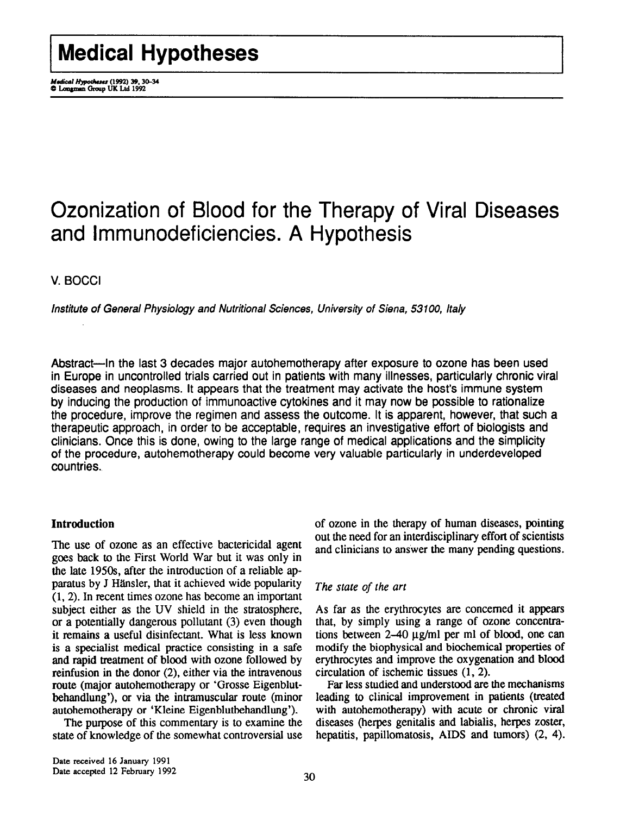# Ozonization of Blood for the Therapy of Viral Diseases and Immunodeficiencies. A Hypothesis

# V. BOCCI

*institute of General Physiology and Nutritional Sciences, University of Siena, 53100, Italy* 

Abstract--- In the last 3 decades major autohemotherapy after exposure to ozone has been used in Europe in uncontrolled trials carried out in patients with many illnesses, particularly chronic viral diseases and neoplasms. It appears that the treatment may activate the host's immune system by inducing the production of immunoactive cytokines and it may now be possible to rationalize the procedure, improve the regimen and assess the outcome. It is apparent, however, that such a therapeutic approach, in order to be acceptable, requires an investigative effort of biologists and clinicians. Once this is done, owing to the large range of medical applications and the simplicity of the procedure, autohemotherapy could become very valuable particularly in underdeveloped countries.

# **Introduction**

**The** use of ozone as an effective bactericidal agent goes back to the First World War but it was only in the late 1950s, after the introduction of a reliable apparatus by J Hansler, that it achieved wide popularity (1.2). In recent times ozone has become an important subject either as the UV shield in the stratosphere, or a potentially dangerous pollutant (3) even though it remains a useful disinfectant. What is less known is a specialist medical practice consisting in a safe and rapid treatment of blood with ozone followed by reinfusion in the donor (2). either via the intravenous route (major autohemotherapy or 'Grosse Eigenblutbehandlung'), or via the intramuscular route (minor autohemotherapy or 'Kleine Eigenblutbehandlung').

The purpose of this commentary is to examine the state of knowledge of the somewhat controversial use of ozone in the therapy of human diseases, pointing out the need for an interdisciplinary effort of scientists and clinicians to answer the many pending questions.

## *The state of the art*

As far as the erythrocytes are concerned it appears that, by simply using a range of ozone concentrations between 2-40 ug/ml per ml of blood, one can modify the biophysical and biochemical properties of erythrocytes and improve the oxygenation and blood circulation of ischemic tissues (1, 2).

Far less studied and understood are the mechanisms leading to clinical improvement in patients (treated with autohemotherapy) with acute or chronic viral diseases (herpes genitalis and labialis, herpes zoster, hepatitis, papillomatosis, AIDS and tumors)  $(2, 4)$ .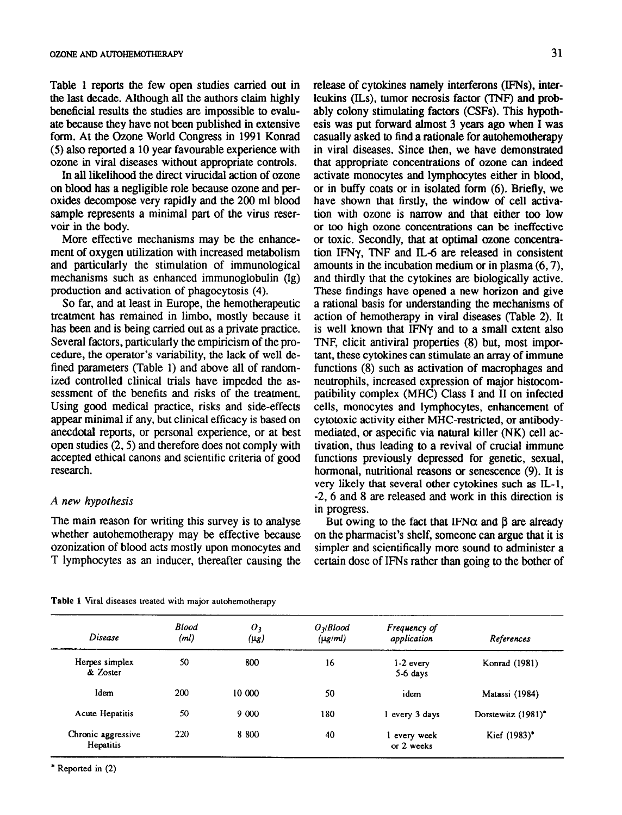Table 1 reports the few open studies carried out in the last decade. Although all the authors claim highly beneficial results the studies are impossible to evaluate because they have not been published in extensive form. At the Ozone World Congress in 1991 Konrad (5) also reported a 10 year favourable experience with ozone in viral diseases without appropriate controls.

In all likelihood the direct virucidal action of ozone on blood has a negligible role because ozone and peroxides decompose very rapidly and the 200 ml blood sample represents a minimal part of the virus reservoir in the body.

More effective mechanisms may be the enhancement of oxygen utilization with increased metabolism and particularly the stimulation of immunological mechanisms such as enhanced immunoglobulin (lg) production and activation of phagocytosis (4).

*So* far, and at least in Europe, the hemotherapeutic treatment has remained in limbo, mostly because it has been and is being carried out as a private practice. Several factors, particularly the empiricism of the procedure, the operator's variability, the lack of well defined parameters (Table 1) and above all of randomized controlled clinical trials have impeded the assessment of the benefits and risks of the treatment. Using good medical practice, risks and side-effects appear minimal if any, but clinical efficacy is based on anecdotal reports, or personal experience, or at best open studies (2,5) and therefore does not comply with accepted ethical canons and scientific criteria of good research.

## *A new hypothesis*

The main reason for writing this survey is to analyse whether autohemotherapy may be effective because ozonization of blood acts mostly upon monocytes and T lymphocytes as an inducer, thereafter causing the release of cytokines namely interferons (IFNs), interleukins (ILs), tumor necrosis factor (TNF) and probably colony stimulating factors (CSFs). This hypothesis was put forward almost 3 years ago when I was casually asked to find a rationale for autohemotherapy in viral diseases. Since then, we have demonstrated that appropriate concentrations of ozone can indeed activate monocytes and lymphocytes either in blood, or in buffy coats or in isolated form (6). Briefly, we have shown that firstly, the window of cell activation with ozone is narrow and that either too low or too high ozone concentrations can be ineffective or toxic. Secondly, that at optimal ozone concentration IFNy, TNF and IL-6 are released in consistent amounts in the incubation medium or in plasma (6,7), and thirdly that the cytokines are biologically active. These findings have opened a new horizon and give a rational basis for understanding the mechanisms of action of hemotherapy in viral diseases (Table 2). It is well known that IFNy and to a small extent also TNF, elicit antiviral properties (8) but, most important, these cytokines can stimulate an array of immune functions (8) such as activation of macrophages and neutrophils, increased expression of major histocompatibility complex (MHC) Class I and II on infected cells, monocytes and lymphocytes, enhancement of cytotoxic activity either MHC-restricted, or antibodymediated, or aspecific via natural killer (NK) cell activation, thus leading to a revival of crucial immune functions previously depressed for genetic, sexual, hormonal, nutritional reasons or senescence (9). It is very likely that several other cytokines such as IL-l, -2, 6 and 8 are released and work in this direction is in progress.

But owing to the fact that IFN $\alpha$  and  $\beta$  are already on the pharmacist's shelf, someone can argue that it is simpler and scientifically more sound to administer a certain dose of IFNs rather than going to the bother of

| Disease                         | Blood<br>(ml) | O <sub>3</sub><br>$(\mu g)$ | O <sub>3</sub> /Blood<br>$(\mu$ g/ml) | Frequency of<br>application | References         |  |
|---------------------------------|---------------|-----------------------------|---------------------------------------|-----------------------------|--------------------|--|
| Herpes simplex<br>& Zoster      | 50            | 800                         | 16                                    | $1-2$ every<br>5-6 days     | Konrad (1981)      |  |
| Idem                            | 200           | 10 000                      | 50                                    | idem<br>Matassi (1984)      |                    |  |
| Acute Hepatitis                 | 50            | 9 000                       | 180                                   | 1 every 3 days              | Dorstewitz (1981)* |  |
| Chronic aggressive<br>Hepatitis | 220           | 8 800                       | 40                                    | l every week<br>or 2 weeks  | Kief (1983)*       |  |

Table 1 Viral diseases treated with major autohemotherapy

l Reported in *(2)*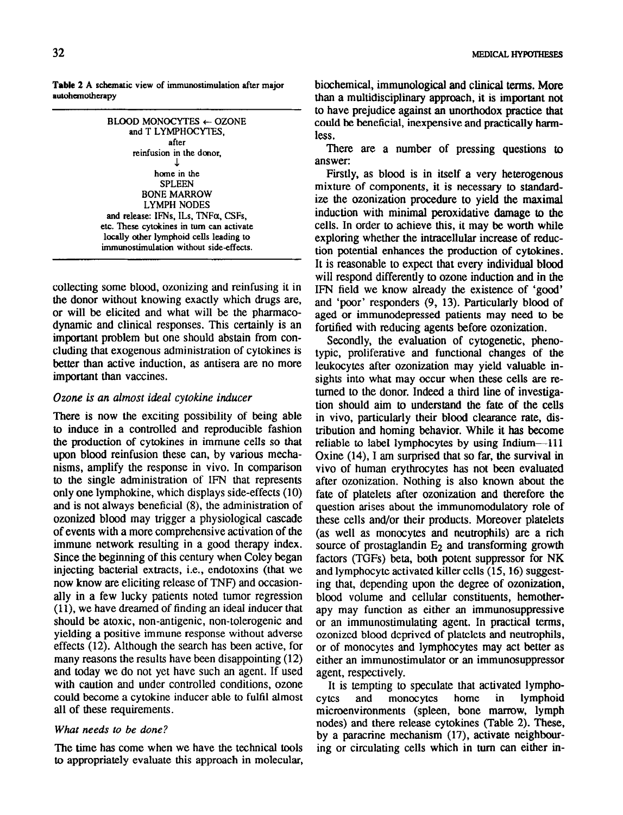|                 |  |  | <b>Table 2 A schematic view of immunostimulation after major</b> |  |
|-----------------|--|--|------------------------------------------------------------------|--|
| autohemotherapy |  |  |                                                                  |  |

| $BLOOD$ MONOCYTES $\leftarrow$ OZONE<br>and T LYMPHOCYTES.<br>after |
|---------------------------------------------------------------------|
| reinfusion in the donor,                                            |
|                                                                     |
| home in the                                                         |
| <b>SPLEEN</b>                                                       |
| <b>BONE MARROW</b>                                                  |
| LYMPH NODES                                                         |
| and release: IFNs, ILs, TNFa, CSFs,                                 |
| etc. These cytokines in turn can activate                           |
| locally other lymphoid cells leading to                             |
| immunostimulation without side-effects.                             |

collecting some blood, ozonizing and reinfusing it in the donor without knowing exactly which drugs are, or will be elicited and what will be the pharmacodynamic and clinical responses. This certainly is an important problem but one should abstain from concluding that exogenous administration of cytokines is better than active induction, as antisera are no more important than vaccines.

#### *Ozone is an almost i&al cytokine inducer*

There is now the exciting possibility of being able to induce in a controlled and reproducible fashion the production of cytokines in immune cells so that upon blood reinfusion these can, by various mechanisms, amplify the response in vivo. In comparison to the single administration of IFN that represents only one lymphokine, which displays side-effects (10) and is not always beneficial (8), the administration of ozonized blood may trigger a physiological cascade of events with a more comprehensive activation of the immune network resulting in a good therapy index. Since the beginning of this century when Coley began injecting bacterial extracts, i.e., endotoxins (that we now know are eliciting release of TNF) and occasionally in a few lucky patients noted tumor regression (11). we have dreamed of finding an ideal inducer that should be atoxic, non-antigenic, non-tolerogenic and yielding a positive immune response without adverse effects (12). Although the search has been active, for many reasons the results have been disappointing (12) and today we do not yet have such an agent. If used with caution and under controlled conditions, ozone could become a cytokine inducer able to fulfil almost all of these requirements.

#### *What needs to be done?*

*The* time has come when we have the technical tools to appropriately evaluate this approach in molecular, biochemical, immunological and clinical terms. More than a multidisciplinary approach, it is important not to have prejudice against an unorthodox practice that could be beneficial, inexpensive and practically harmless.

There are a number of pressing questions to answer:

Firstly, as blood is in itself a very heterogenous mixture of components, it is necessary to standardize the ozonization procedure to yield the maximal induction with minimal peroxidative damage to the cells. In order to achieve this, it may be worth while exploring whether the intracellular increase of reduction potential enhances the production of cytokines. It is reasonable to expect that every individual blood will respond differently to ozone induction and in the IFN field we know already the existence of 'good' and 'poor' responders (9, 13). Particularly blood of aged or immunodepressed patients may need to be fortified with reducing agents before ozonization.

Secondly, the evaluation of cytogenetic, phenotypic, proliferative and functional changes of the leukocytes after ozonization may yield valuable insights into what may occur when these cells are returned to the donor. Indeed a third line of investigation should aim to understand the fate of the cells in vivo, particularly their blood clearance rate, distribution and homing behavior. While it has become reliable to label lymphocytes by using Indium-111 Oxine (14), I am surprised that so far, the survival in vivo of human erythrocytes has not been evaluated after ozonization. Nothing is also known about the fate of platelets after ozonization and therefore the question arises about the immunomodulatory role of these cells and/or their products. Moreover platelets (as well as monocytes and neutrophils) are a rich source of prostaglandin  $E_2$  and transforming growth factors (TGFs) beta, both potent suppressor for NK and lymphocyte activated killer cells (15,16) suggesting that, depending upon the degree of ozonization, blood volume and cellular constituents, hemotherapy may function as either an immunosuppressive or an immunostimulating agent. In practical terms, ozonized blood deprived of platelets and neutrophils, or of monocytes and lymphocytes may act better as either an immunostimulator or an immunosuppressor agent, respectively.

It is tempting to speculate that activated lympho-<br>tes and monocytes home in lymphoid cytes and monocytes home in microenvironments (spleen, bone marrow, lymph nodes) and there release cytokines (Table 2). These, by a paracrine mechanism (17), activate neighbouring or circulating cells which in turn can either in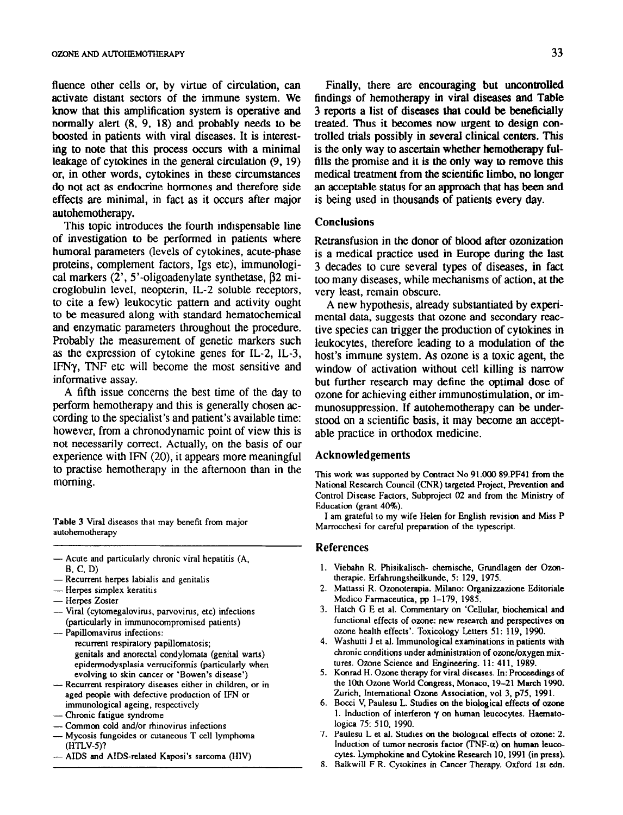fluence other cells or, by virtue of circulation, can activate distant sectors of the immune system. We know that this amplification system is operative and normally alert (8, 9, 18) and probably needs to be boosted in patients with viral diseases. It is interesting to note that this process occurs with a minimal leakage of cytokines in the general circulation (9,19) or, in other words, cytokines in these circumstances do not act as endocrine hormones and therefore side effects are minimal, in fact as it occurs after major autohemotherapy.

This topic introduces the fourth indispensable line of investigation to be performed in patients where humoral parameters (levels of cytokines, acute-phase proteins, complement factors, Igs etc), immunological markers  $(2', 5'$ -oligoadenylate synthetase,  $\beta$ 2 microglobulin level, neopterin, IL-2 soluble receptors, to cite a few) leukocytic pattern and activity ought to be measured along with standard hematochemical and enzymatic parameters throughout the procedure. Probably the measurement of genetic markers such as the expression of cytokine genes for IL-2, IL-3, IFNy, TNF etc will become the most sensitive and informative assay.

A fifth issue concerns the best time of the day to perform hemotherapy and this is generally chosen according to the specialist's and patient's available time: however, from a chronodynamic point of view this is not necessarily correct. Actually, on the basis of our experience with IFN (20), it appears more meaningful to practise hemotherapy in the afternoon than in the morning.

Table 3 Viral diseases that may benefit from major autohemotherapy

- Acute and particularly chronic viral hepatitis (A, B, C, D)
- Recurrent herpes labialis and genitalis
- Herpes simplex keratitis
- Herpes Zoster
- Viral (cytomegalovirus, parvovirus, etc) infections (particularly in immunocompromised patients)
- Papillomavirus infections: recurrent respiratory papillomatosis; genitals and anorectal condylomata (genital warts) epidermodysplasia verruciformis (particularly when evolving to skin cancer or 'Bowen's disease')
- Recurrent respiratory diseases either in children, or in aged people with defective production of IFN or immunological ageing, respectively
- Chronic fatigue syndrome
- Common cold and/or rhinovirus infections
- $-$  Mycosis fungoides or cutaneous  $T$  cell lymphoma (HTLV-5)?
- AIDS and AIDS-related Kaposi's sarcoma (HIV)

Finally, there are encouraging but uncontrolled findings of hemotherapy in viral diseases and Table 3 reports a list of diseases that could be beneficially treated. Thus it becomes now urgent to design controlled trials possibly in several clinical centers. This is the only way to ascertain whether hemotherapy fulfills the promise and it is the only way to remove this medical treatment from the scientific limbo, no longer an acceptable status for an approach that has been and is being used in thousands of patients every day.

# Conclusions

Retransfusion in the donor of blood after ozonization is a medical practice used in Europe during the last 3 decades to cure several types of diseases, in fact too many diseases, while mechanisms of action, at the very least, remain obscure.

A new hypothesis, already substantiated by experimental data, suggests that ozone and secondary reactive species can trigger the production of cytokines in leukocytes, therefore leading to a modulation of the host's immune system. As ozone is a toxic agent, the window of activation without cell killing is narrow but further research may define the optimal dose of ozone for achieving either immunostimulation, or immunosuppression. If autohemotherapy can be understood on a scientific basis, it may become an acceptable practice in orthodox medicine.

#### Acknowledgements

This work was supported by Contract No 91 .OOO 89.PF41 from the National Research Council (CNR) targeted Project, Prevention and Control Disease Factors, Subproject 02 and from the Ministry of Education (grant 40%).

I am grateful to my wife Helen for English revision and Miss P Marrocchesi for careful preparation of the typescript.

## References

- 1. Viebahn R. Phisikalisch- chemische. Grundlagen der Ozontherapie. Erfahrungsheilkunde, 5: 129. 1975.
- 2. Mattassi R. Ozonoterapia. Milano: Organizxazione Editoriale Medico Farmaceutica, pp 1-179, 1985.
- 3. Hatch G E et al. Commentary on 'Cellular, biochemical and functional effects of ozone: new research and perspectives on ozone health effects'. Toxicology Letters 51: 119. 1990.
- 4. Washutti J et al. Immunological examinations in patients with chronic conditions **under administration** of ozone/oxygen mixtures. Ozone Science and Engineering. 11: 411, 1989.
- 5. Konrad H. Ozcme therapy for viral diseases. In: Proceedings of the 10th Ozone World Congress, Monaco, 19-21 March 1990. Zurich, International Ozone Association, vol 3, p75, 1991.
- 6. Bocci V, Paulesu L. Studies on the biological effects of ozone 1. Induction of interferon  $\gamma$  on human leucocytes. Haematologica 75: 510, 1990.
- 7. Paulesu L et al. Studies on the biological effects of ozone: 2. Induction of tumor necrosis factor (TNF- $\alpha$ ) on human leucocytes. Lymphokine and Cytokine Research 10.1991 (in press).
- 8. Balkwill F R. Cytokines in Cancer Therapy. Oxford 1st edn.